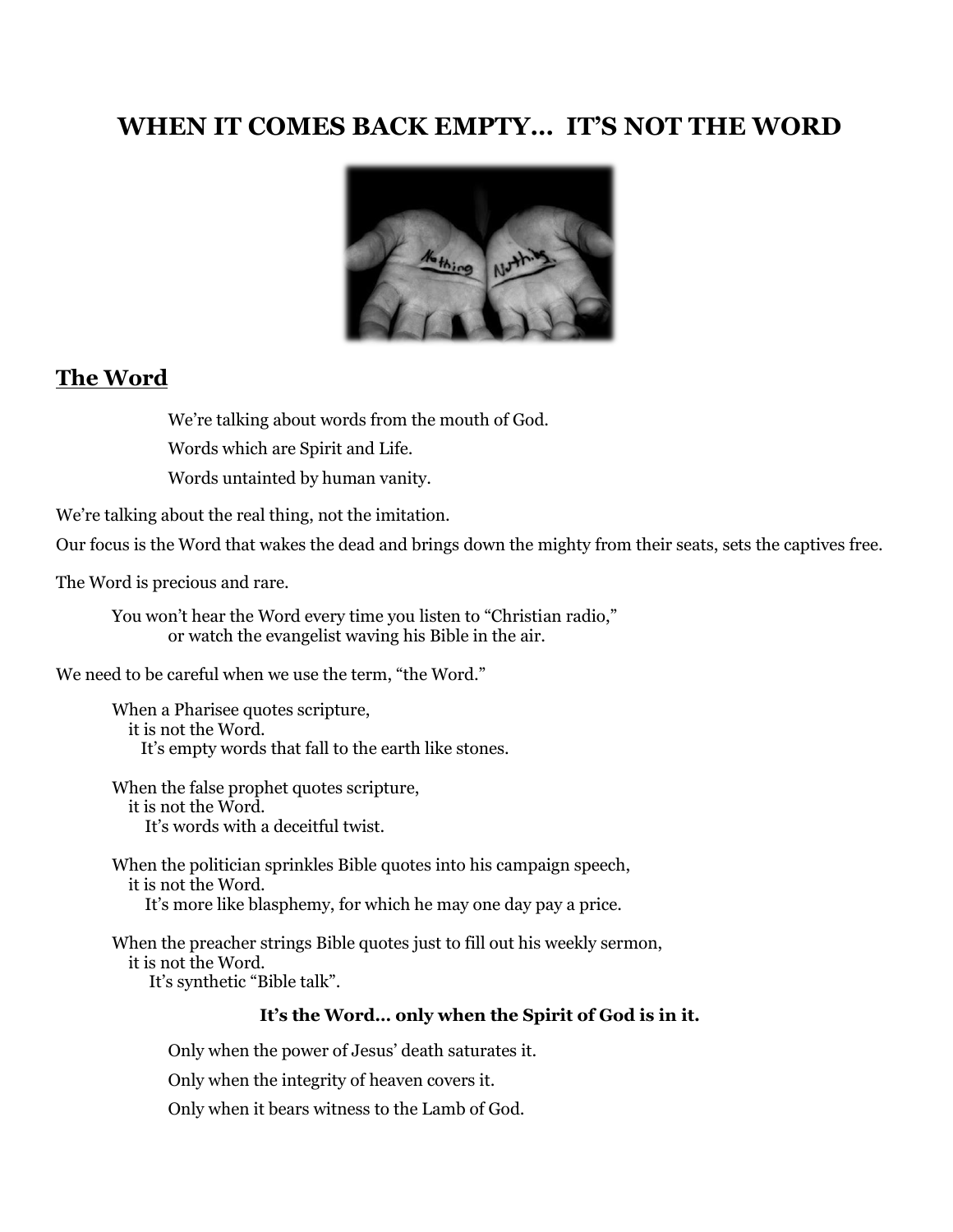# **WHEN IT COMES BACK EMPTY… IT'S NOT THE WORD**



### **The Word**

We're talking about words from the mouth of God.

Words which are Spirit and Life.

Words untainted by human vanity.

We're talking about the real thing, not the imitation.

Our focus is the Word that wakes the dead and brings down the mighty from their seats, sets the captives free.

The Word is precious and rare.

You won't hear the Word every time you listen to "Christian radio," or watch the evangelist waving his Bible in the air.

We need to be careful when we use the term, "the Word."

When a Pharisee quotes scripture, it is not the Word. It's empty words that fall to the earth like stones.

When the false prophet quotes scripture, it is not the Word. It's words with a deceitful twist.

When the politician sprinkles Bible quotes into his campaign speech, it is not the Word. It's more like blasphemy, for which he may one day pay a price.

When the preacher strings Bible quotes just to fill out his weekly sermon, it is not the Word. It's synthetic "Bible talk".

#### **It's the Word… only when the Spirit of God is in it.**

Only when the power of Jesus' death saturates it.

Only when the integrity of heaven covers it.

Only when it bears witness to the Lamb of God.